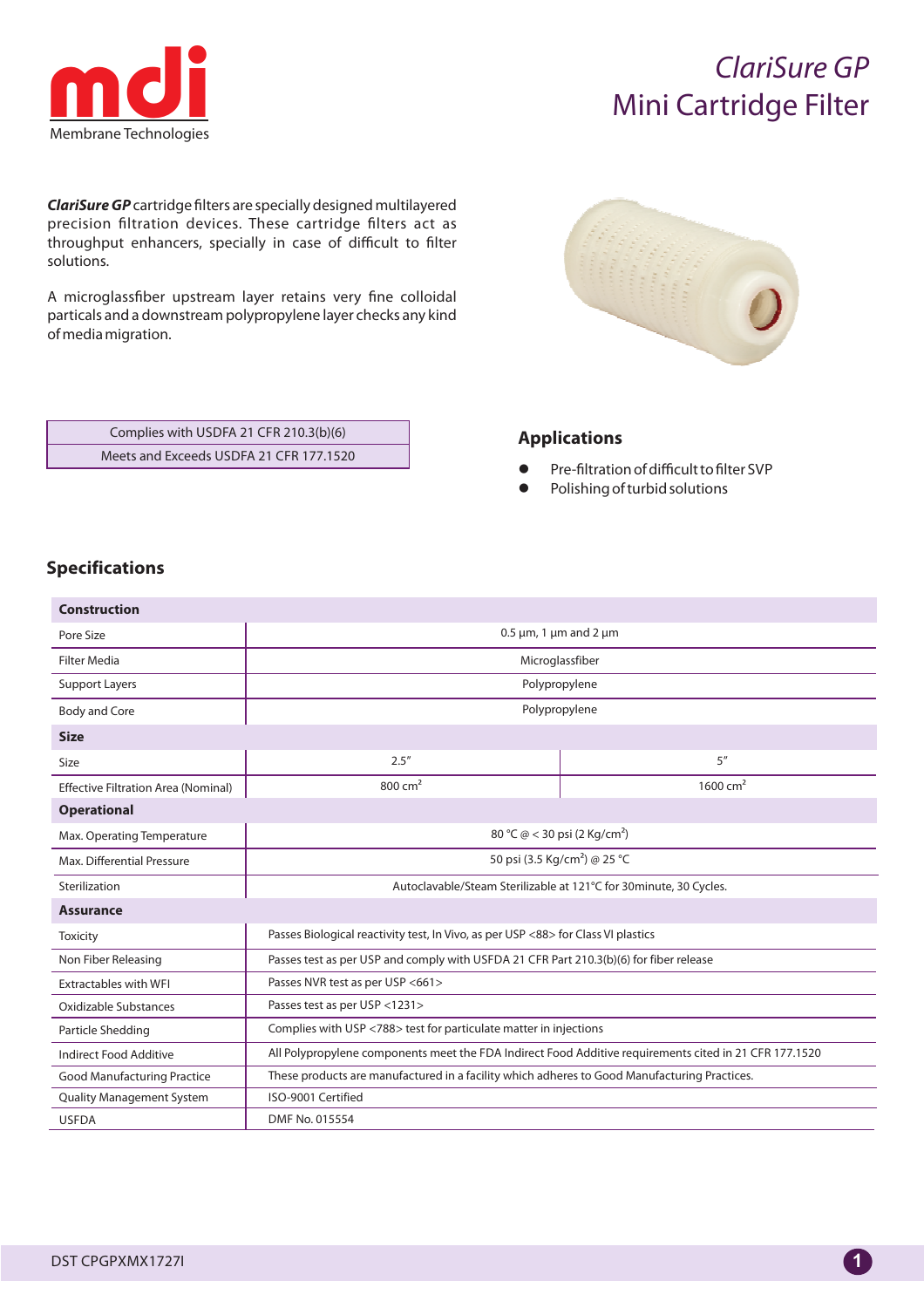

# *ClariSure GP* Mini Cartridge Filter

*ClariSure GP* cartridge filters are specially designed multilayered precision filtration devices. These cartridge filters act as throughput enhancers, specially in case of difficult to filter solutions.

A microglassfiber upstream layer retains very fine colloidal particals and a downstream polypropylene layer checks any kind of media migration.

| <b>China</b><br><b>CONSTRUCTION</b><br><b>Contraction</b><br><b>REAL PROPERTY</b><br><b>COLORADO</b><br><b>CONTRACTOR</b><br>5<br><b>Contractor</b><br><b>CONTRACTOR</b><br>P.<br>×<br>٠<br>٠<br>٠<br>×<br>٠<br>Ú<br>÷<br>٠<br>٠<br>a ka<br>×<br>٠<br>×<br>÷<br>r.<br>÷.<br>t,<br>i.<br>٠<br>×<br>i,<br>×<br>t<br>٠<br>÷<br>٠<br>٠<br>÷<br>٠<br>٠<br>×<br>٠<br>÷ | ٠<br><b>RANDA</b><br><b>CENTRAL OR</b><br>Ē<br>W<br>×<br>w<br>t.<br>$\sim$<br>٠<br>÷<br>۰<br>٠<br>٠ |  |
|------------------------------------------------------------------------------------------------------------------------------------------------------------------------------------------------------------------------------------------------------------------------------------------------------------------------------------------------------------------|-----------------------------------------------------------------------------------------------------|--|
|                                                                                                                                                                                                                                                                                                                                                                  |                                                                                                     |  |

| Complies with USDFA 21 CFR 210.3(b)(6)  |  |
|-----------------------------------------|--|
| Meets and Exceeds USDFA 21 CFR 177.1520 |  |

#### **Applications**

- l Pre-filtration of difficult to filter SVP
- Polishing of turbid solutions

### **Specifications**

| <b>Construction</b>                        |                                                                                                        |            |  |  |  |  |  |  |  |
|--------------------------------------------|--------------------------------------------------------------------------------------------------------|------------|--|--|--|--|--|--|--|
| Pore Size                                  | $0.5 \mu m$ , 1 $\mu m$ and 2 $\mu m$                                                                  |            |  |  |  |  |  |  |  |
| <b>Filter Media</b>                        | Microglassfiber                                                                                        |            |  |  |  |  |  |  |  |
| Support Layers                             | Polypropylene                                                                                          |            |  |  |  |  |  |  |  |
| <b>Body and Core</b>                       | Polypropylene                                                                                          |            |  |  |  |  |  |  |  |
| <b>Size</b>                                |                                                                                                        |            |  |  |  |  |  |  |  |
| <b>Size</b>                                | 2.5''                                                                                                  | 5''        |  |  |  |  |  |  |  |
| <b>Effective Filtration Area (Nominal)</b> | $800 \text{ cm}^2$                                                                                     | 1600 $cm2$ |  |  |  |  |  |  |  |
| <b>Operational</b>                         |                                                                                                        |            |  |  |  |  |  |  |  |
| Max. Operating Temperature                 | 80 °C @ < 30 psi (2 Kg/cm <sup>2</sup> )                                                               |            |  |  |  |  |  |  |  |
| Max. Differential Pressure                 | 50 psi (3.5 Kg/cm <sup>2</sup> ) @ 25 °C                                                               |            |  |  |  |  |  |  |  |
| Sterilization                              | Autoclavable/Steam Sterilizable at 121°C for 30minute, 30 Cycles.                                      |            |  |  |  |  |  |  |  |
| <b>Assurance</b>                           |                                                                                                        |            |  |  |  |  |  |  |  |
| Toxicity                                   | Passes Biological reactivity test, In Vivo, as per USP <88> for Class VI plastics                      |            |  |  |  |  |  |  |  |
| Non Fiber Releasing                        | Passes test as per USP and comply with USFDA 21 CFR Part 210.3(b)(6) for fiber release                 |            |  |  |  |  |  |  |  |
| <b>Extractables with WFI</b>               | Passes NVR test as per USP <661>                                                                       |            |  |  |  |  |  |  |  |
| Oxidizable Substances                      | Passes test as per USP <1231>                                                                          |            |  |  |  |  |  |  |  |
| Particle Shedding                          | Complies with USP <788> test for particulate matter in injections                                      |            |  |  |  |  |  |  |  |
| Indirect Food Additive                     | All Polypropylene components meet the FDA Indirect Food Additive requirements cited in 21 CFR 177.1520 |            |  |  |  |  |  |  |  |
| <b>Good Manufacturing Practice</b>         | These products are manufactured in a facility which adheres to Good Manufacturing Practices.           |            |  |  |  |  |  |  |  |
| <b>Quality Management System</b>           | ISO-9001 Certified                                                                                     |            |  |  |  |  |  |  |  |
| <b>USFDA</b>                               | DMF No. 015554                                                                                         |            |  |  |  |  |  |  |  |